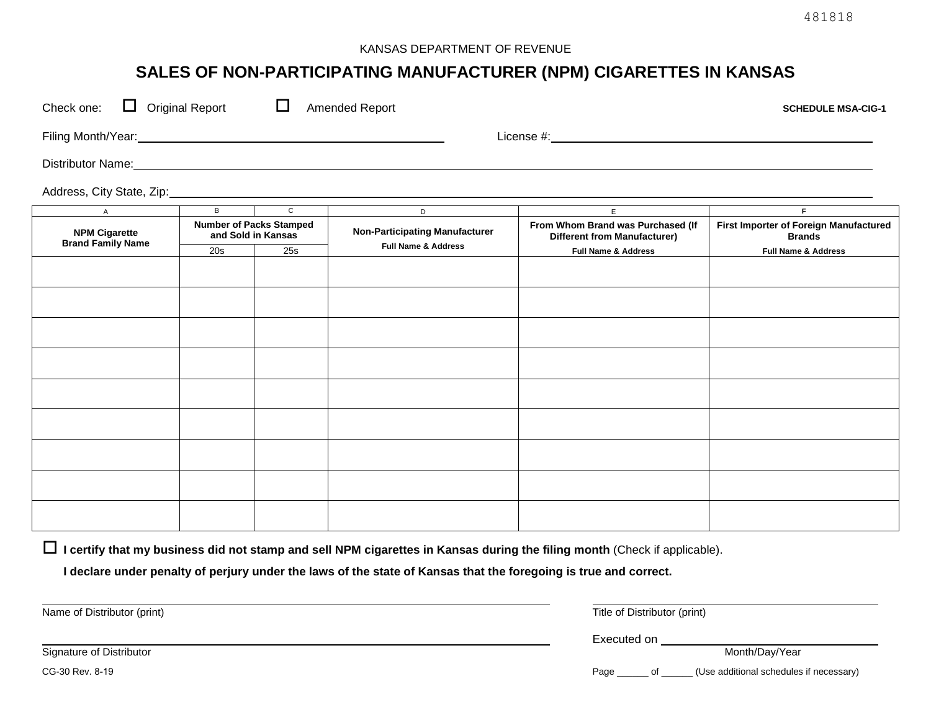### KANSAS DEPARTMENT OF REVENUE

# **SALES OF NON-PARTICIPATING MANUFACTURER (NPM) CIGARETTES IN KANSAS**

| ப<br><b>Original Report</b><br>Check one:<br>Amended Report<br><b>SCHEDULE MSA-CIG-1</b>                                                                                                                                      |                                                      |                |                                                                                                                                                                                                                                     |                                                                          |                                                         |
|-------------------------------------------------------------------------------------------------------------------------------------------------------------------------------------------------------------------------------|------------------------------------------------------|----------------|-------------------------------------------------------------------------------------------------------------------------------------------------------------------------------------------------------------------------------------|--------------------------------------------------------------------------|---------------------------------------------------------|
| Filing Month/Year: Management of the Contract of the Contract of the Contract of the Contract of the Contract of the Contract of the Contract of the Contract of the Contract of the Contract of the Contract of the Contract |                                                      |                |                                                                                                                                                                                                                                     |                                                                          |                                                         |
|                                                                                                                                                                                                                               |                                                      |                | Distributor Name: <u>Name:</u> Name: Name: Name: Name: Name: Name: Name: Name: Name: Name: Name: Name: Name: Name: Name: Name: Name: Name: Name: Name: Name: Name: Name: Name: Name: Name: Name: Name: Name: Name: Name: Name: Name |                                                                          |                                                         |
|                                                                                                                                                                                                                               |                                                      |                |                                                                                                                                                                                                                                     |                                                                          |                                                         |
| $\mathsf{A}$                                                                                                                                                                                                                  | $\overline{B}$                                       | $\overline{c}$ | D                                                                                                                                                                                                                                   | E                                                                        | F.                                                      |
| <b>NPM Cigarette</b><br><b>Brand Family Name</b>                                                                                                                                                                              | <b>Number of Packs Stamped</b><br>and Sold in Kansas |                | <b>Non-Participating Manufacturer</b>                                                                                                                                                                                               | From Whom Brand was Purchased (If<br><b>Different from Manufacturer)</b> | First Importer of Foreign Manufactured<br><b>Brands</b> |
|                                                                                                                                                                                                                               | 20s                                                  | 25s            | <b>Full Name &amp; Address</b>                                                                                                                                                                                                      | <b>Full Name &amp; Address</b>                                           | <b>Full Name &amp; Address</b>                          |
|                                                                                                                                                                                                                               |                                                      |                |                                                                                                                                                                                                                                     |                                                                          |                                                         |
|                                                                                                                                                                                                                               |                                                      |                |                                                                                                                                                                                                                                     |                                                                          |                                                         |
|                                                                                                                                                                                                                               |                                                      |                |                                                                                                                                                                                                                                     |                                                                          |                                                         |
|                                                                                                                                                                                                                               |                                                      |                |                                                                                                                                                                                                                                     |                                                                          |                                                         |
|                                                                                                                                                                                                                               |                                                      |                |                                                                                                                                                                                                                                     |                                                                          |                                                         |
|                                                                                                                                                                                                                               |                                                      |                |                                                                                                                                                                                                                                     |                                                                          |                                                         |
|                                                                                                                                                                                                                               |                                                      |                |                                                                                                                                                                                                                                     |                                                                          |                                                         |
|                                                                                                                                                                                                                               |                                                      |                |                                                                                                                                                                                                                                     |                                                                          |                                                         |

**I certify that my business did not stamp and sell NPM cigarettes in Kansas during the filing month** (Check if applicable).

**I declare under penalty of perjury under the laws of the state of Kansas that the foregoing is true and correct.**

Name of Distributor (print) Title of Distributor (print)

Executed on

Signature of Distributor Month/Day/Year

CG-30 Rev. 8-19 Page \_\_\_\_\_\_ of \_\_\_\_\_\_ (Use additional schedules if necessary)